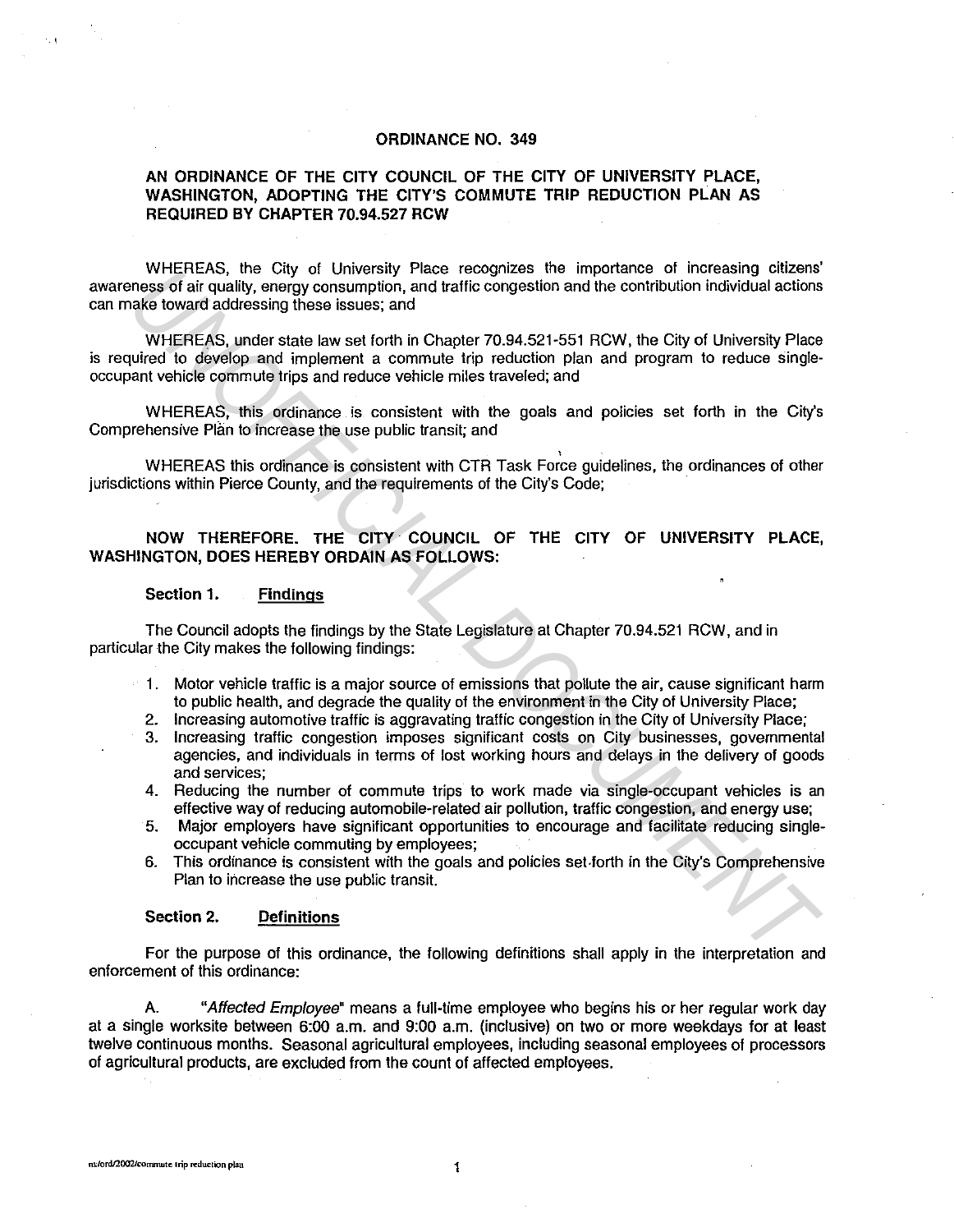# **ORDINANCE NO. 349**

# **AN ORDINANCE OF THE CITY COUNCIL OF THE CITY OF UNIVERSITY PLACE, WASHINGTON, ADOPTING THE CITY'S COMMUTE TRIP REDUCTION PLAN AS REQUIRED BY CHAPTER 70.94.527 RCW**

WHEREAS, the City of University Place recognizes the importance of increasing citizens' awareness of air quality, energy consumption, and traffic congestion and the contribution individual actions can make toward addressing these issues; and

WHEREAS, under state law set forth in Chapter 70.94.521-551 RCW, the City of University Place is required to develop and implement a commute trip reduction plan and program to reduce singleoccupant vehicle commute trips and reduce vehicle miles traveled; and **EVERTIFIEN, the City of University Piace fectogrizes for importance of interesting curzens<br>
meas of air quality, onergy consumption, and traffic congestion and the contribution individual actions<br>
WHEREAS, under state law** 

WHEREAS, this ordinance is consistent with the goals and policies set forth in the City's Comprehensive Plan to increase the use public transit; and

WHEREAS this ordinance is consistent with CTR Task Force guidelines, the ordinances of other jurisdictions within Pierce County, and the requirements of the City's Code;

# **NOW THEREFORE. THE CITY COUNCIL OF THE CITY OF UNIVERSITY PLACE, WASHINGTON, DOES HEREBY ORDAIN AS FOLLOWS:**

# **Section 1. Findings**

The Council adopts the findings by the State Legislature at Chapter 70.94.521 RCW, and in particular the City makes the following findings:

- 1. Motor vehicle traffic is a major source of emissions that pollute the air, cause significant harm to public health, and degrade the quality of the environment in the City of University Place;
- 2. Increasing automotive traffic is aggravating traffic congestion in the City of University Place;
- 3. Increasing traffic congestion imposes significant costs on City businesses, governmental agencies, and individuals in terms of lost working hours and delays in the delivery of goods and services;
- 4. Reducing the number of commute trips to work made via single-occupant vehicles is an effective way of reducing automobile-related air pollution, traffic congestion, and energy use;
- 5. Major employers have significant opportunities to encourage and facilitate reducing singleoccupant vehicle commuting by employees;
- 6. This ordinance is consistent with the goals and policies set.forth in the City's Comprehensive Plan to increase the use public transit.

# **Section 2. Definitions**

For the purpose of this ordinance, the following definitions shall apply in the interpretation and enforcement of this ordinance:

A. "Affected Employee" means a full-time employee who begins his or her regular work day at a single worksite between 6:00 a.m. and 9:00 a.m. (inclusive) on two or more weekdays for at least twelve continuous months. Seasonal agricultural employees, including seasonal employees of processors of agricultural products, are excluded from the count of affected employees.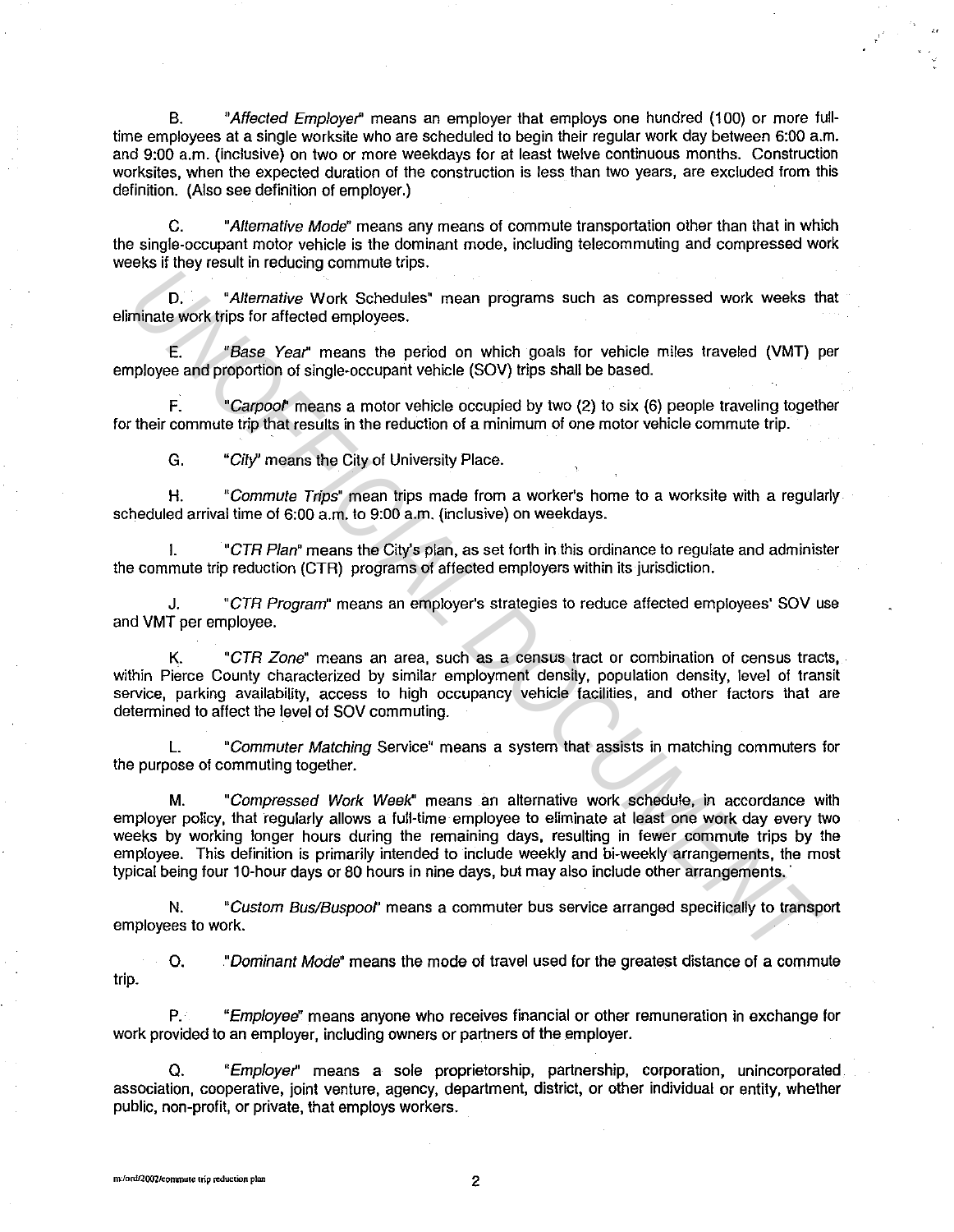B. "Affected Employer' means an employer that employs one hundred (100) or more fulltime employees at a single worksite who are scheduled to begin their regular work day between 6:00 a.m. and 9:00 a.m. (inclusive) on two or more weekdays for at least twelve continuous months. Construction worksites, when the expected duration of the construction is less than two years, are excluded from this definition. (Also see definition of employer.)

C. "Alternative Mode" means any means of commute transportation other than that in which the single-occupant motor vehicle is the dominant mode, including telecommuting and compressed work weeks if they result in reducing commute trips.

D. "Alternative Work Schedules" mean programs such as compressed work weeks that eliminate work trips for affected employees.

E. "Base Year' means the period on which goals for vehicle miles traveled (VMT) per employee and proportion of single-occupant vehicle (SOV) trips shall be based.

F. "Carpool' means a motor vehicle occupied by two (2) to six (6) people traveling together for their commute trip that results in the reduction of a minimum of one motor vehicle commute trip.

G. "City' means the City of University Place.

H. "Commute Trips" mean trips made from a worker's home to a worksite with a regularly scheduled arrival time of 6:00 a.m. to 9:00 a.m. (inclusive) on weekdays.

I. "CTR Plan" means the City's plan, as set forth in this ordinance to regulate and administer the commute trip reduction (CTR) programs of affected employers within its jurisdiction.

J. "CTR Program" means an employer's strategies to reduce affected employees' SOV use and VMT per employee.

K. "CTR Zone" means an area, such as a census tract or combination of census tracts, within Pierce County characterized by similar employment density, population density, level of transit service, parking availability, access to high occupancy vehicle facilities, and other factors that are determined to affect the level of SOV commuting.

L. "Commuter Matching Service" means a system that assists in matching commuters for the purpose of commuting together.

M. "Compressed Work Week" means an alternative work schedule, in accordance with employer policy, that regularly allows a full-time employee to eliminate at least one work day every two weeks by working longer hours during the remaining days, resulting in fewer commute trips by the employee. This definition is primarily intended to include weekly and bi-weekly arrangements, the most typical being four 10-hour days or 80 hours in nine days, but may also include other arrangements. · **ID.** The Work Schedules" mean such as compressed work weeks the main profit of the main profit of a state of the main profit of the main profit of the main the proof. The main the profit of the main state of the main sta

N. "Custom Bus/Buspool' means a commuter bus service arranged specifically to transport employees to work.

0. "Dominant Mode" means the mode of travel used for the greatest distance of a commute trip.

"Employee" means anyone who receives financial or other remuneration in exchange for work provided to an employer, including owners or partners of the employer.

Q. "Employer' means a sole proprietorship, partnership, corporation, unincorporated association, cooperative, joint venture, agency, department, district, or other individual or entity, whether public, non-profit, or private, that employs workers.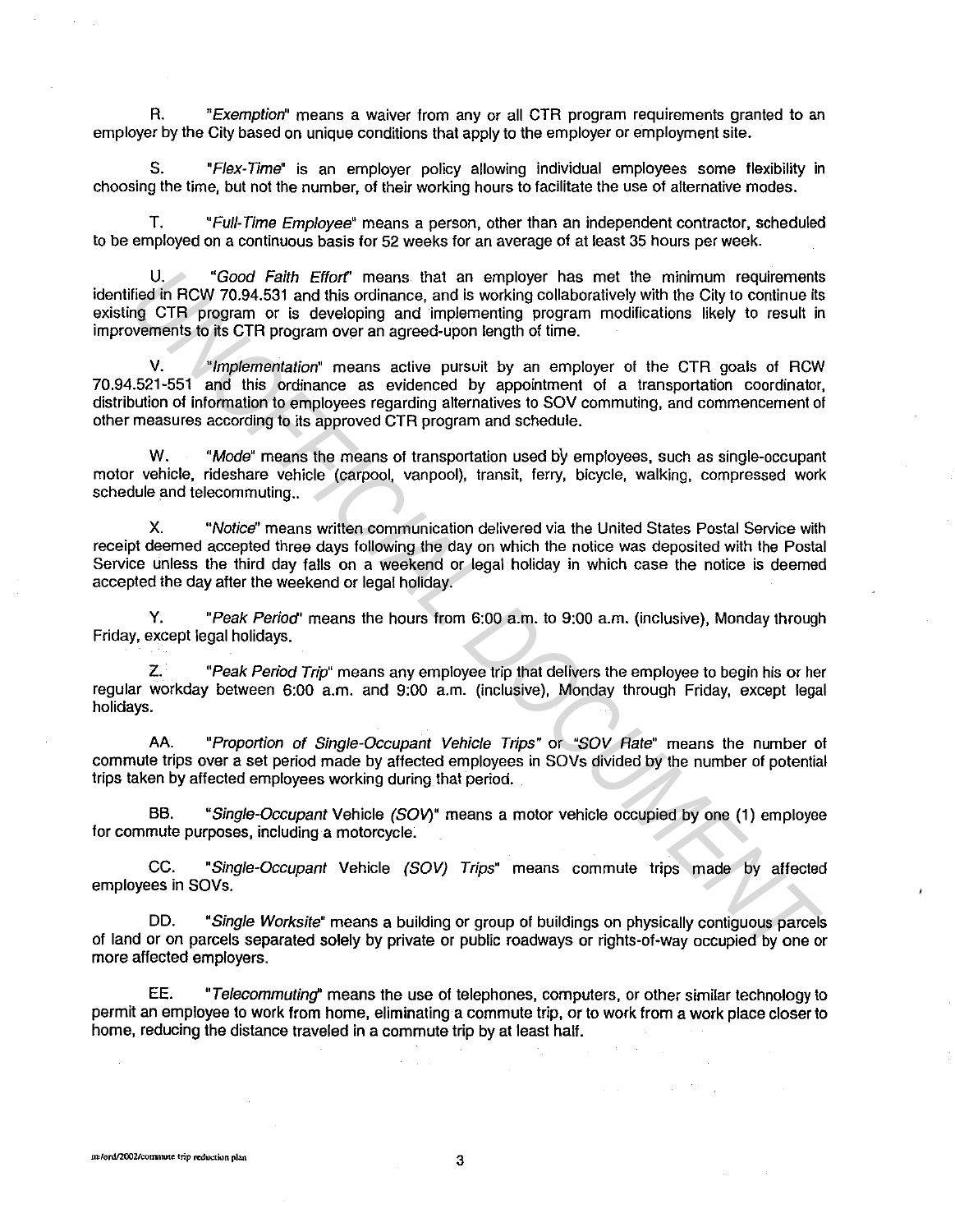R. "Exemption" means a waiver from any or all CTR program requirements granted to an employer by the City based on unique conditions that apply to the employer or employment site.

S. "Flex-Time" is an employer policy allowing individual employees some flexibility in choosing the time, but not the number, of their working hours to facilitate the use of alternative modes.

T. "Full-Time Employee" means a person, other than an independent contractor, scheduled to be employed on a continuous basis for 52 weeks for an average of at least 35 hours per week.

U. "Good Faith Effort" means that an employer has met the minimum requirements identified in RCW 70.94.531 and this ordinance, and is working collaboratively with the City to continue its existing CTR program or is developing and implementing program modifications likely to result in improvements to its CTR program over an agreed-upon length of time. U. Cood Faith Effort means that an employee the the minimum requirements and a model in FCW to continue the minimum cequirements of GTR program or is developing and implementing CTR program or is developing in the minimum

V. "Implementation" means active pursuit by an employer of the CTR goals of RCW 70.94.521-551 and this ordinance as evidenced by appointment of a transportation coordinator, distribution of information to employees regarding alternatives to SOV commuting, and commencement of other measures according to its approved CTR program and schedule.

W. "Mode" means the means of transportation used by employees, such as single-occupant motor vehicle, rideshare vehicle (carpool, vanpool), transit, ferry, bicycle, walking, compressed work schedule and telecommuting..

X. "Notice" means written communication delivered via the United States Postal Service with receipt deemed accepted three days following the day on which the notice was deposited with the Postal Service unless the third day falls on a weekend or legal holiday in which case the notice is deemed accepted the day after the weekend or legal holiday.

Y. "Peak Period' means the hours from 6:00 a.m. to 9:00 a.m. (inclusive), Monday through Friday, except legal holidays.

Z. "Peak Period Trip" means any employee trip that delivers the employee to begin his or her regular workday between 6:00 a.m. and 9:00 a.m. (inclusive), Monday through Friday, except legal holidays.

AA. "Proportion of Single-Occupant Vehicle Trips" or "SOV Rate" means the number of commute trips over a set period made by affected employees in SOVs divided by the number of potential trips taken by affected employees working during that period.

BB. "Single-Occupant Vehicle (SOV)" means a motor vehicle occupied by one (1) employee for commute purposes, including a motorcycle.

CC. "Single-Occupant Vehicle (SOV) Trips" means commute trips made by affected employees in SOVs.

DD. "Single Worksite" means a building or group of buildings on physically contiguous parcels of land or on parcels separated solely by private or public roadways or rights-of-way occupied by one or more affected employers.

EE. "Telecommuting'' means the use of telephones, computers, or other similar technology to permit an employee to work from home, eliminating a commute trip, or to work from a work place closer to home, reducing the distance traveled in a commute trip by at least hall.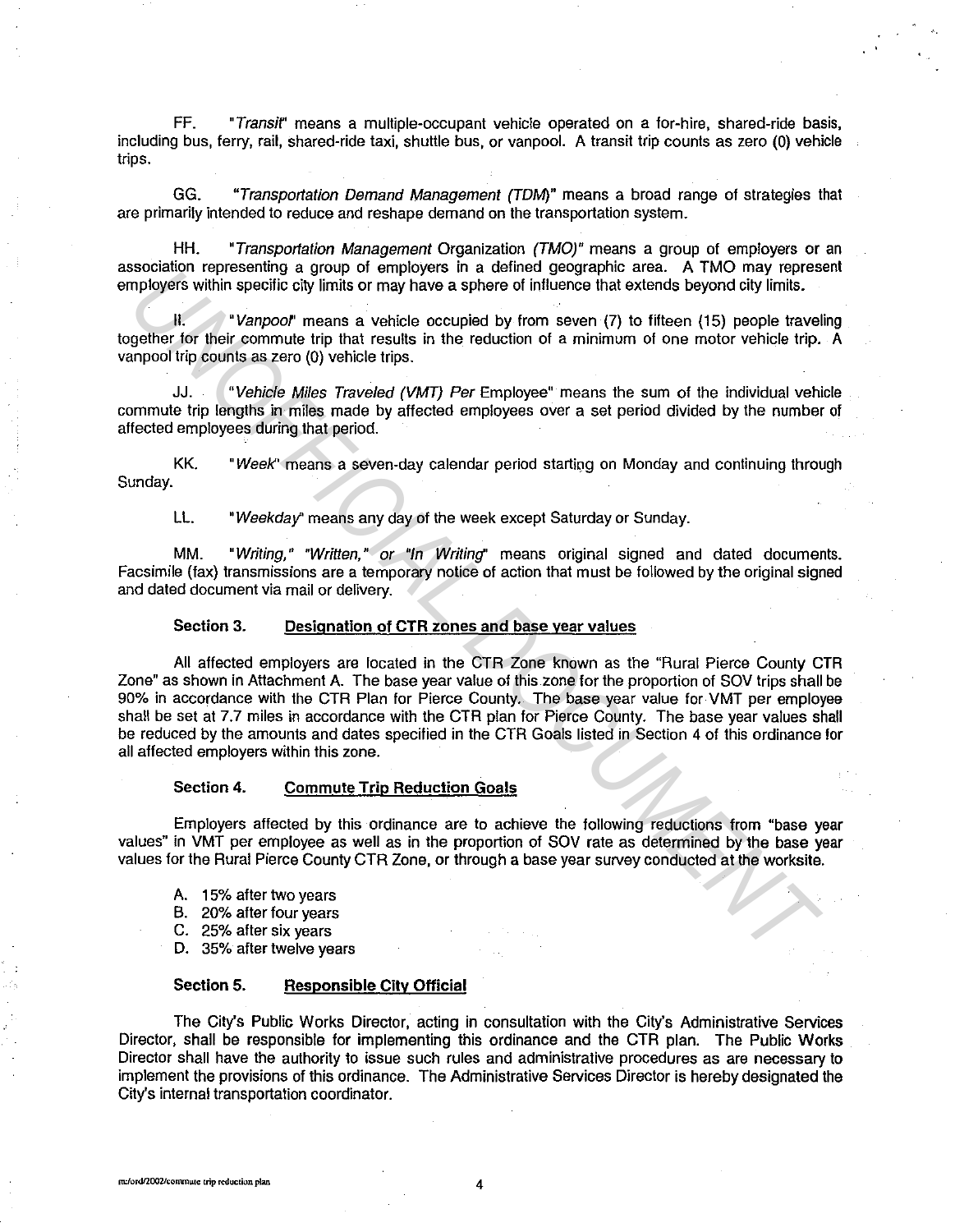FF. "Transir' means a multiple-occupant vehicle operated on a for-hire, shared-ride basis, including bus, ferry, rail, shared-ride taxi, shuttle bus, or vanpool. A transit trip counts as zero (0) vehicle trips.

GG. "Transportation Demand Management (TOM)" means a broad range of strategies that are primarily intended to reduce and reshape demand on the transportation system.

HH. "Transportation Management Organization (TMO)" means a group of employers or an association representing a group of employers in a defined geographic area. A TMO may represent employers within specific city limits or may have a sphere of influence that extends beyond city limits.

II. "Vanpool' means a vehicle occupied by from seven (7) to fifteen (15) people traveling together for their commute trip that results in the reduction of a minimum of one motor vehicle trip. A vanpool trip counts as zero (0) vehicle trips.

JJ. "Vehicle Miles Traveled (VMT) Per Employee" means the sum of the individual vehicle commute trip lengths in miles made by affected employees over a set period divided by the number of affected employees during that period.

KK. "Week'' means a seven-day calendar period starting on Monday and continuing through Sunday.

LL. "Weekday" means any day of the week except Saturday or Sunday.

MM. "Writing," "Written," or "In Writing" means original signed and dated documents. Facsimile (fax) transmissions are a temporary notice of action that must be followed by the original signed and dated document via mail or delivery.

Section 3. Designation of CTR zones and base year values

All affected employers are located in the CTR Zone known as the "Rural Pierce County CTR Zone" as shown in Attachment A. The base year value of this zone for the proportion of SOV trips shall be 90% in accordance with the CTR Plan for Pierce County. The base year value for VMT per employee shall be set at 7.7 miles in accordance with the CTR plan for Pierce County. The base year values shall be reduced by the amounts and dates specified in the CTR Goals listed in Section 4 of this ordinance for all affected employers within this zone. **Examining a group of unipropes and a density group of uniproperation and the CIFI Roman CHI and the CIFI Amondation of the metal specific the first connume trip that results in the reduction of a minimum of one motor vehi** 

#### Section 4. Commute Trip Reduction Goals

Employers affected by this ordinance are to achieve the following reductions from "base year values" in VMT per employee as well as in the proportion of SOV rate as determined by the base year values for the Rural Pierce County CTR Zone, or through a base year survey conducted at the worksite.

- A. 15% after two years
- B. 20% after four years
- C. 25% after six years
- D. 35% after twelve years

#### Section 5. Responsible City Official

The City's Public Works Director, acting in consultation with the City's Administrative Services Director, shall be responsible for implementing this ordinance and the CTR plan. The Public Works Director shall have the authority to issue such rules and administrative procedures as are necessary to implement the provisions of this ordinance. The Administrative Services Director is hereby designated the City's internal transportation coordinator.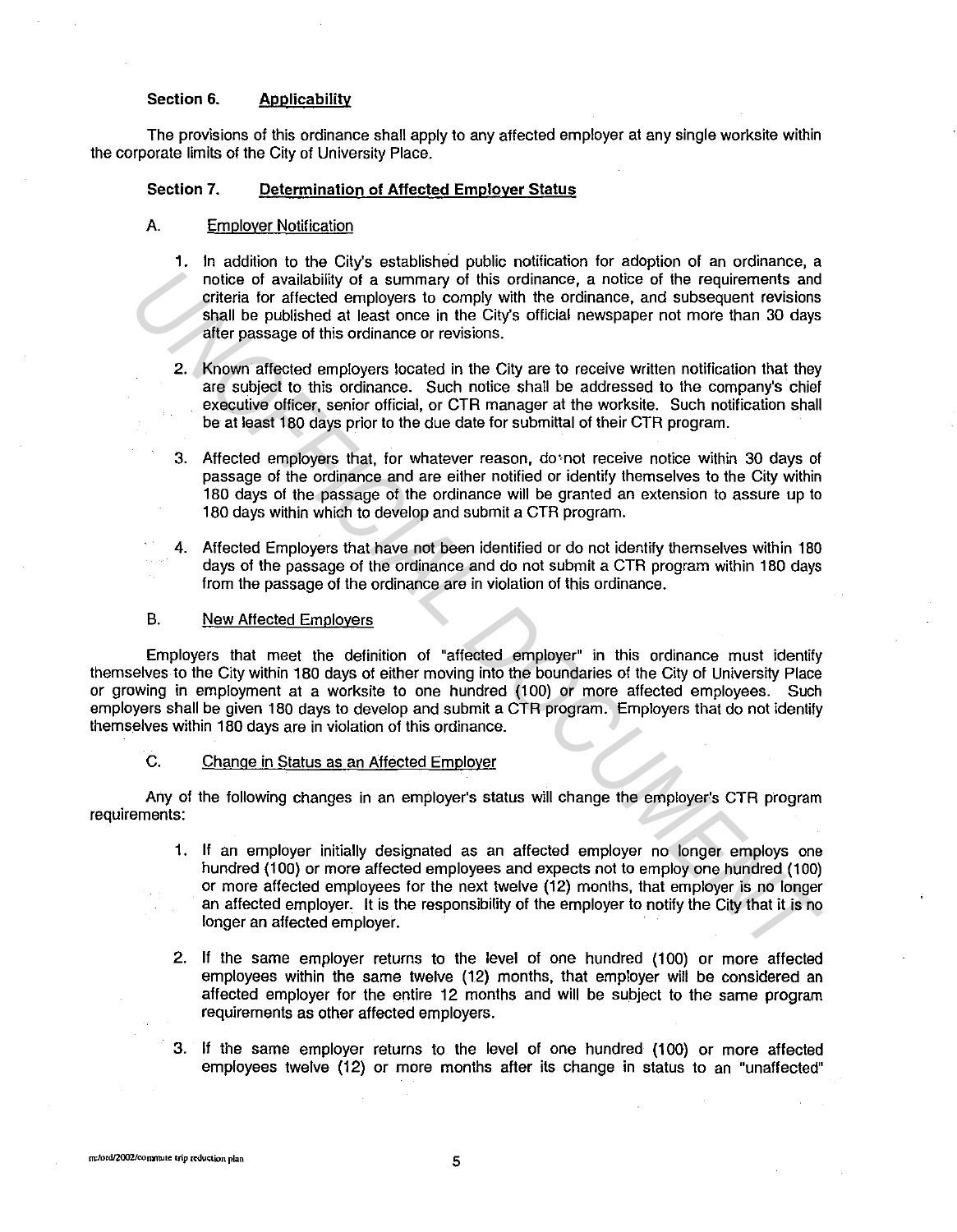### **Section 6. Applicability**

The provisions of this ordinance shall apply to any affected employer at any single worksite within the corporate limits of the City of University Place.

# **Section 7. Determination of Affected Employer Status**

## A. Employer Notification

- **1.** In addition to the City's established public notification for adoption of an ordinance, a notice of availability of a summary of this ordinance, a notice of the requirements and criteria for affected employers to comply with the ordinance, and subsequent revisions shall be published at least once in the City's official newspaper not more than 30 days after passage of this ordinance or revisions.
- 2. Known affected employers located in the City are to receive written notification that they are subject to this ordinance. Such notice shall be addressed to the company's chief executive officer, senior official, or CTR manager at the worksite. Such notification shall be at least 180 days prior to the due date for submittal of their CTR program.
- 3. Affected employers that, for whatever reason, do'not receive notice within 30 days of passage of the ordinance and are either notified or identify themselves to the City within 180 days of the passage of the ordinance will be granted an extension to assure up to 180 days within which to develop and submit a CTR program.
- 4. Affected Employers that have not been identified or do not identify themselves within 180 days of the passage of the ordinance and do not submit a CTR program within 180 days from the passage of the ordinance are in violation of this ordinance.

### B. New Affected Employers

Employers that meet the definition of "affected employer" in this ordinance must identify themselves to the City within 180 days of either moving into the boundaries of the City of University Place or growing in employment at a worksite to one hundred (100) or more affected employees. Such employers shall be given 180 days to develop and submit a CTR program. Employers that do not identify themselves within 180 days are in violation of this ordinance. motice of availability of a summary of this ordinance, a notice of the requirements and the state of the state of the matter of the state of the state of the state of the state of the state of the state of the state of the

#### C. Change in Status as an Affected Employer

Any of the following changes in an employer's status will change the employer's CTR program requirements:

- 1. If an employer initially designated as an affected employer no longer employs one hundred (100) or more affected employees and expects not to employ one hundred (100) or more affected employees for the next twelve (12) months, that employer is no longer an affected employer. It is the responsibility of the employer to notify the City that it is no longer an affected employer.
- 2. If the same employer returns to the level of one hundred (100) or more affected employees within the same twelve (12) months, that employer will be considered an affected employer for the entire 12 months and will be subject to the same program requirements as other affected employers.
- 3. If the same employer returns to the level of one hundred (100) or more affected employees twelve (12) or more months after its change in status to an "unaffected"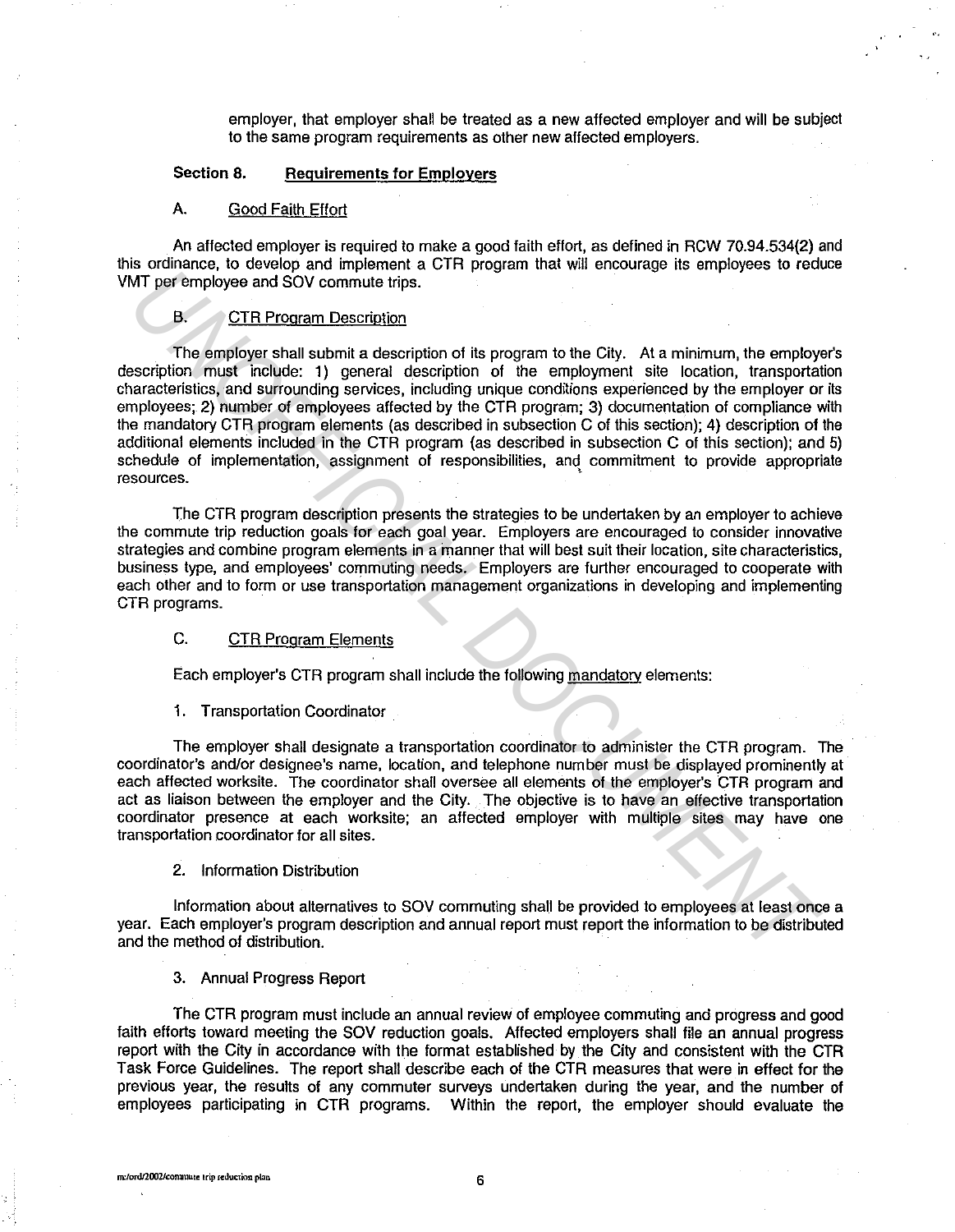employer, that employer shall be treated as a new affected employer and will be subject to the same program requirements as other new affected employers.

# Section 8. Requirements for Employers

### A. Good Faith Effort

An affected employer is required to make a good faith effort, as defined in RCW 70.94.534(2) and this ordinance, to develop and implement a CTR program that will encourage its employees to reduce VMT per employee and SOV commute trips.

## B. CTR Program Description

The employer shall submit a description of its program to the City. At a minimum, the employer's description must include: 1) general description of the employment site location, transportation characteristics, and surrounding services, including unique conditions experienced by the employer or its employees; 2) number of employees affected by the CTR program; 3) documentation of compliance with the mandatory CTR program elements (as described in subsection C of this section); 4) description of the additional elements included in the CTR program (as described in subsection C of this section); and 5) schedule of implementation, assignment of responsibilities, and commitment to provide appropriate resources. **UT por employee and SOV commute trips.**<br> **B.** CTR Program Description of its program to the City. At a minimum, the employes and SOV commute trips.<br>
B. CTR Program Description of its program to the City. At a minimum, the

The CTR program description presents the strategies to be undertaken by an employer to achieve the commute trip reduction goals for each goal year. Employers are encouraged to consider innovative strategies and combine program elements in a manner that will best suit their location, site characteristics, business type, and employees' commuting needs. Employers are further encouraged to cooperate with each other and to form or use transportation management organizations in developing and implementing CTR programs.

# C. CTR Program Elements

Each employer's CTR program shall include the following mandatory elements:

1. Transportation Coordinator

The employer shall designate a transportation coordinator to administer the CTR program. The coordinator's and/or designee's name, location, and telephone number must be displayed prominently at each affected worksite. The coordinator shall oversee all elements of the employer's CTR program and act as liaison between the employer and the City. The objective is to have an effective transportation coordinator presence at each worksite; an affected employer with multiple sites may have one transportation coordinator for all sites.

2. Information Distribution

Information about alternatives to SOV commuting shall be provided to employees at least once a year. Each employer's program description and annual report must report the information to be distributed and the method of distribution.

3. Annual Progress Report

The CTR program must include an annual review of employee commuting and progress and good faith efforts toward meeting the SOV reduction goals. Affected employers shall file an annual progress report with the City in accordance with the format established by the City and consistent with the CTR Task Force Guidelines. The report shall describe each of the CTR measures that were in effect for the previous year, the results of any commuter surveys undertaken during the year, and the number of employees participating in CTR programs. Within the report, the employer should evaluate the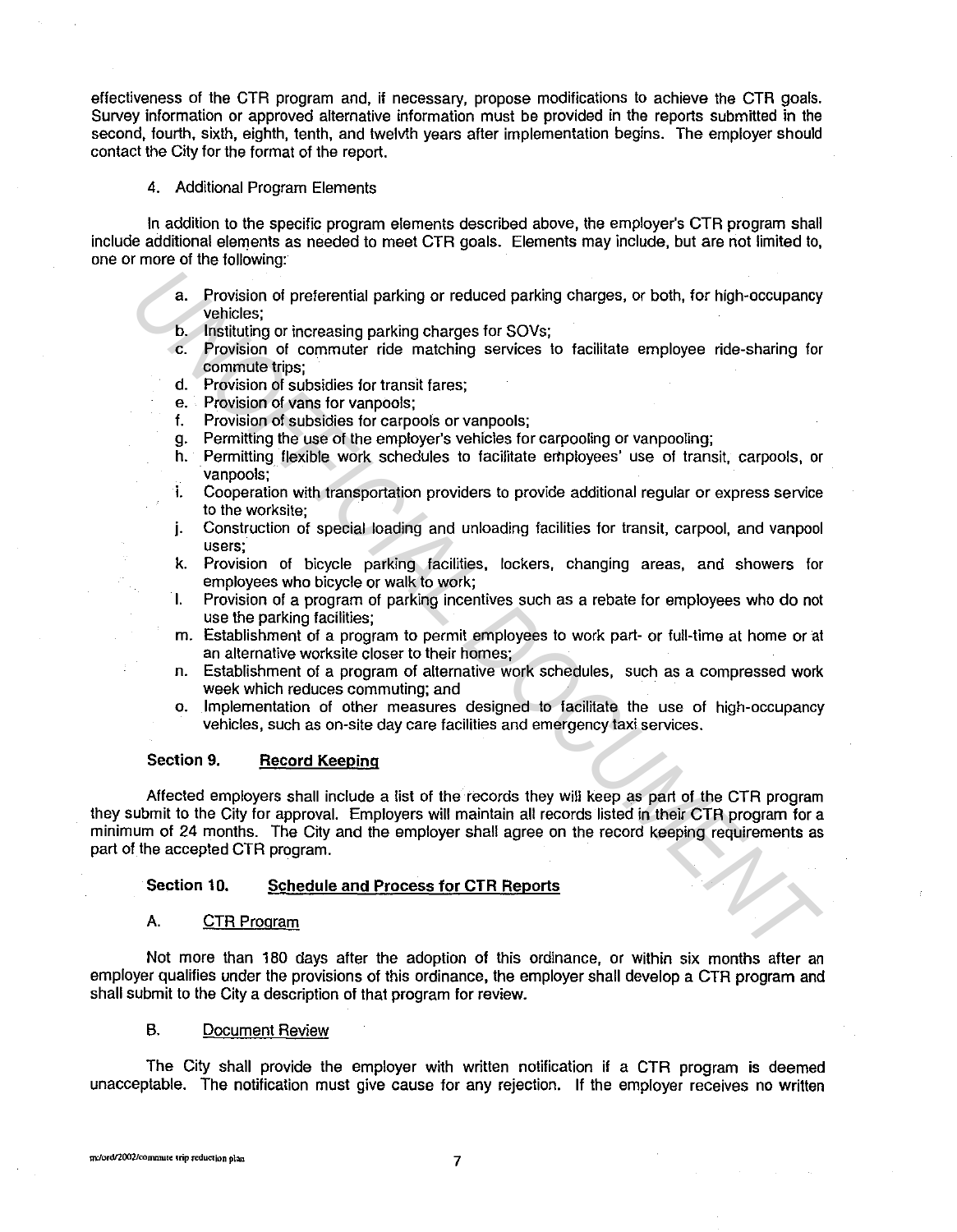effectiveness of the CTR program and, if necessary, propose modifications to achieve the CTR goals. Survey information or approved alternative information must be provided in the reports submitted in the second, fourth, sixth, eighth, tenth, and twelvth years after implementation begins. The employer should contact the City for the format of the report.

## 4. Additional Program Elements

In addition to the specific program elements described above, the employer's CTR program shall include additional elements as needed to meet CTR goals. Elements may include, but are not limited to, one or more of the following:

- a. Provision of preferential parking or reduced parking charges, or both, for high-occupancy vehicles;
- b. Instituting or increasing parking charges for SOVs;
- c. Provision of commuter ride matching services to facilitate employee ride-sharing for commute trips;
- d. Provision of subsidies for transit fares;
- e. Provision of vans for vanpools;
- f. Provision of subsidies for carpools or van pools;
- g. Permitting the use of the employer's vehicles for carpooling or vanpooling;
- h. Permitting flexible work schedules to facilitate employees' use of transit, carpools, or ·vanpools;
- i. Cooperation with transportation providers to provide additional regular or express service to the worksite;
- j. Construction of special loading and unloading facilities for transit, carpool, and vanpool users;
- k. Provision of bicycle parking facilities, lockers, changing areas, and showers for employees who bicycle or walk to work;
- I. Provision of a program of parking incentives such as a rebate for employees who do not use the parking facilities;
- m. Establishment of a program to permit employees to work part- or full-time at home or at an alternative worksite closer to their homes;
- n. Establishment of a program of alternative work schedules, such as a compressed work week which reduces commuting; and
- o. Implementation of other measures designed to facilitate the use of high-occupancy vehicles, such as on-site day care facilities and emergency taxi services.

## **Section 9. Record Keeping**

Affected employers shall include a list of the records they will keep as part of the CTR program they submit to the City for approval. Employers will maintain all records listed in their CTR program for a minimum of 24 months. The City and the employer shall agree on the record keeping requirements as part of the accepted CTR program. **Exploring or interembrain parking or reduced parking charges, or both, for high-occupancy**<br> **United the transformation of commuter ride matching services to facilitate employee ride-sharing for<br>
C. Provision of commute ri** 

#### **Section 10. Schedule and Process for CTR Reports**

#### A. CTR Program

Not more than 180 days after the adoption of this ordinance, or within six months after an employer qualifies under the provisions of this ordinance, the employer shall develop a CTR program and shall submit to the City a description of that program for review.

### B. Document Review

The City shall provide the employer with written notification if a CTR program is deemed unacceptable. The notification must give cause for any rejection. **If** the employer receives no written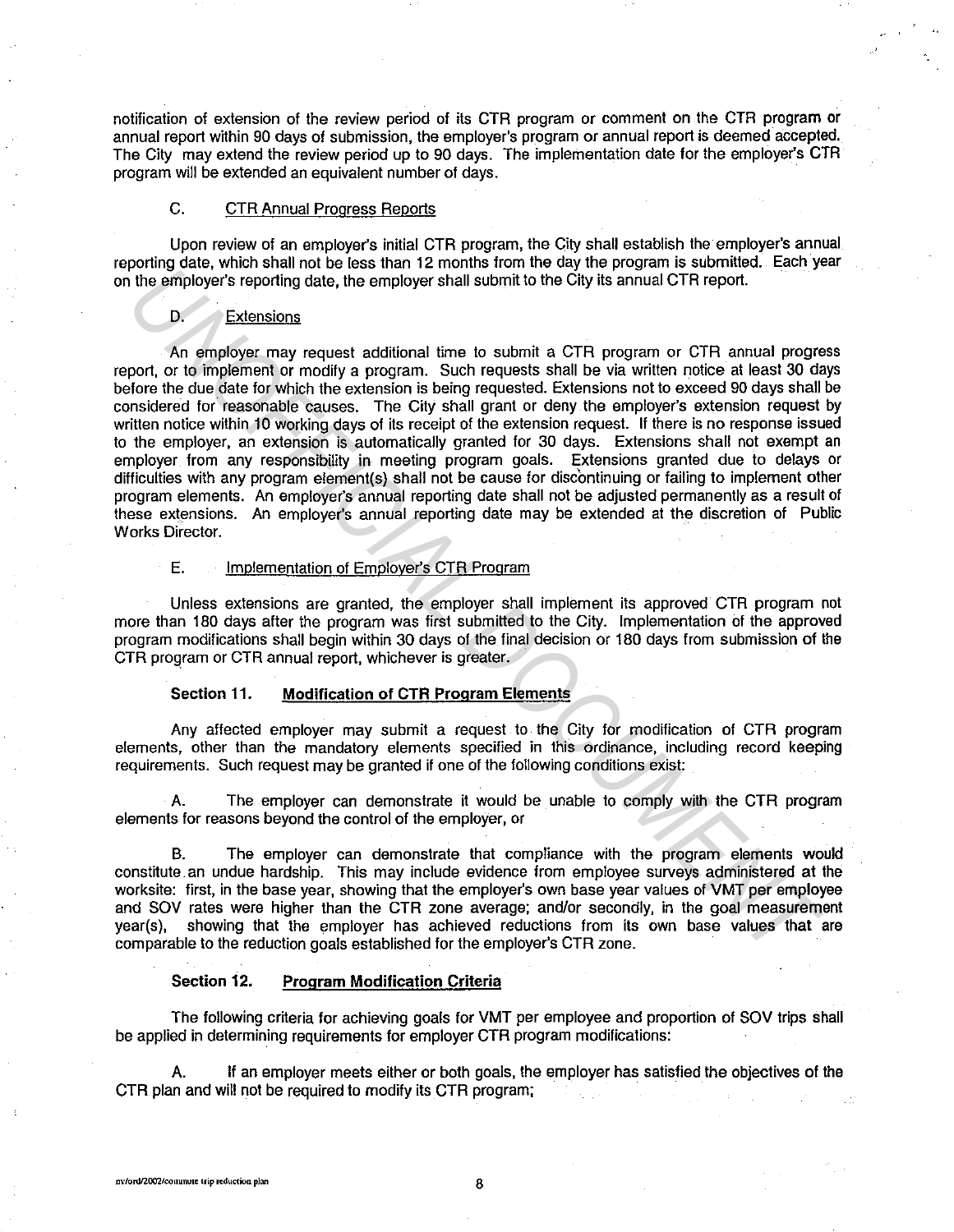notification of extension of the review period of its CTR program or comment on the CTR program or annual report within 90 days of submission, the employer's program or annual report is deemed accepted. The City may extend the review period up to 90 days. The implementation date for the employer's CTR program will be extended an equivalent number of days.

### C. CTR Annual Progress Reports

Upon review of an employer's initial CTR program, the City shall establish the employer's annual reporting date, which shall not be less than 12 months from the day the program is submitted. Each year on the employer's reporting date, the employer shall submit to the City its annual CTR report.

## D. Extensions

An employer may request additional time to submit a CTR program or CTR annual progress report, or to implement or modify a program. Such requests shall be via written notice at least 30 days before the due date for which the extension is being requested. Extensions not to exceed 90 days shall be considered for reasonable causes. The City shall grant or deny the employer's extension request by written notice within 10 working days of its receipt of the extension request. If there is no response issued to the employer, an extension is automatically granted for 30 days. Extensions shall not exempt an employer from any responsibility in meeting program goals. Extensions granted due to delays or difficulties with any program element(s) shall not be cause for discontinuing or failing to implement other program elements. An employer's annual reporting date shall not be adjusted permanently as a result of these extensions. An employer's annual reporting date may be extended at the discretion of Public Works Director. From extending that the content in the match of the content in the content in the proposition of the match of the match of the match of the match of the match of the match of the match of the match of the match of the matc

# E. Implementation of Employer's CTR Program

Unless extensions are granted, the employer shall implement its approved CTR program not more than 180 days after the program was first submitted to the City. Implementation of the approved program modifications shall begin within 30 days of the final decision or 180 days from submission of the CTR program or CTR annual report, whichever is greater.

### Section 11. Modification of CTR Program Elements

Any affected employer may submit a request to the City for modification of CTR program elements, other than the mandatory elements specified in this ordinance, including record keeping requirements. Such request may be granted if one of the following conditions exist:

A. The employer can demonstrate it would be unable to comply with the CTR program elements for reasons beyond the control of the employer, or

B. The employer can demonstrate that compliance with the program elements would constitute. an undue hardship. This may include evidence from employee surveys administered at the worksite: first, in the base year, showing that the employer's own base year values of VMT per employee and SOV rates were higher than the CTR zone average; and/or secondly, in the goal measurement year(s), showing that the employer has achieved reductions from its own base values that are comparable to the reduction goals established for the employer's CTR zone.

#### Section 12. Program Modification Criteria

The following criteria for achieving goals for VMT per employee and proportion of SOV trips shall be applied in determining requirements for employer CTR program modifications:

A. If an employer meets either or both goals, the employer has satisfied the objectives of the CTR plan and will not be required to modify its CTR program;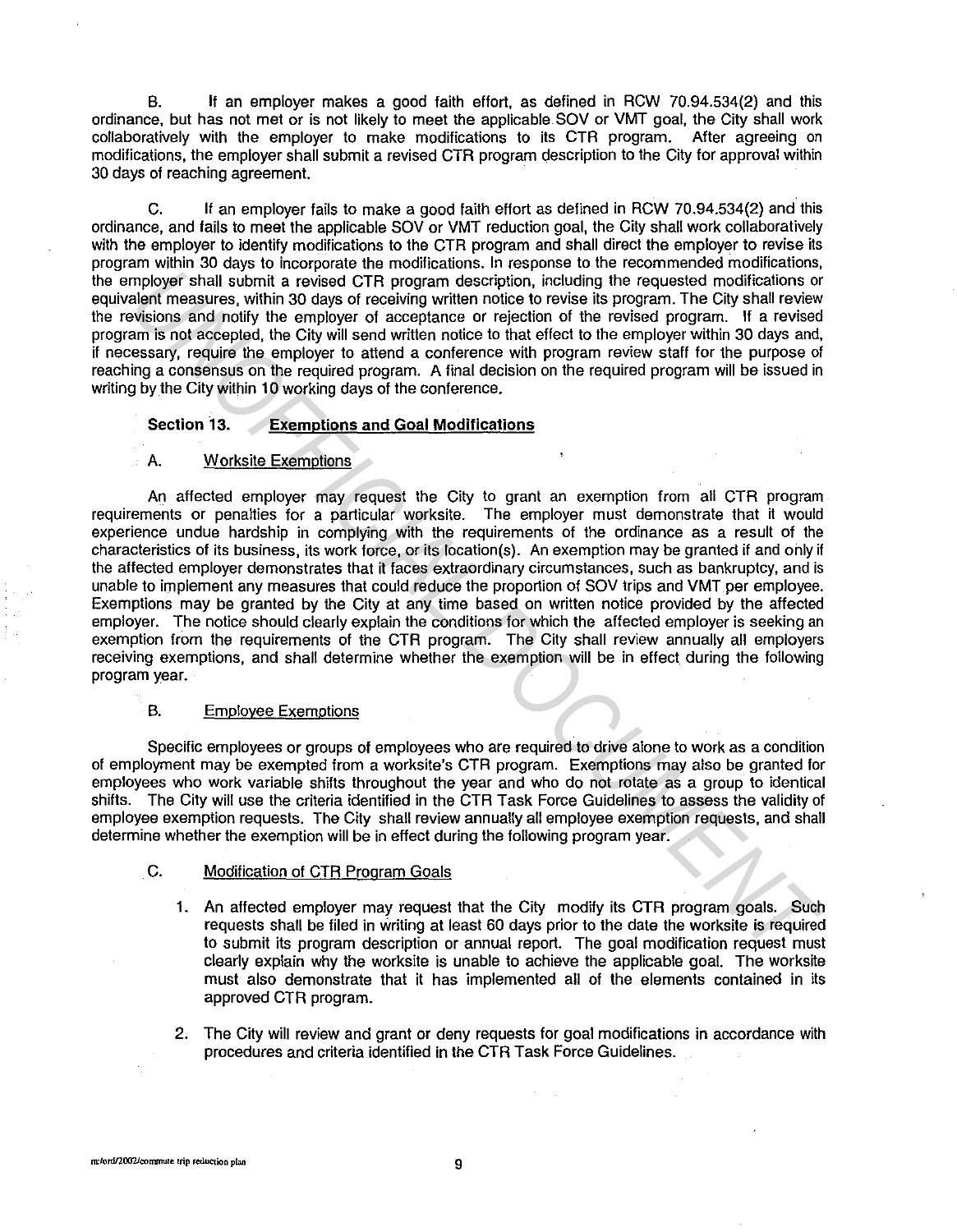B. If an employer makes a good faith effort, as defined in RCW 70.94.534(2) and this ordinance, but has not met or is not likely to meet the applicable SOV or VMT goal, the City shall work collaboratively with the employer to make modifications to its CTR program. After agreeing on modifications, the employer shall submit a revised CTR program description to the City for approval within 30 days of reaching agreement.

C. If an employer fails to make a good faith effort as defined in RCW 70.94.534(2) and this ordinance, and fails to meet the applicable SOV or VMT reduction goal, the City shall work collaboratively with the employer to identify modifications to the CTR program and shall direct the employer to revise its program within 30 days to incorporate the modifications. In response to the recommended modifications, the employer shall submit a revised CTR program description, including the requested modifications or equivalent measures, within 30 days of receiving written notice to revise its program. The City shall review the revisions and notify the employer of acceptance or rejection of the revised program. If a revised program is not accepted, the City will send written notice to that effect to the employer within 30 days and, if necessary, require the employer to attend a conference with program review staff for the purpose of reaching a consensus on the required program. A final decision on the required program will be issued in writing by the City within 10 working days of the conference.

## **Section 13. Exemptions and Goal Modifications**

### A. Worksite Exemptions

An affected employer may request the City to grant an exemption from all CTR program requirements or penalties for a particular worksite. The employer must demonstrate that it would experience undue hardship in complying with the requirements of the ordinance as a result of the characteristics of its business, its work force, or its location(s). An exemption may be granted if and only if the affected employer demonstrates that it faces extraordinary circumstances, such as bankruptcy, and is unable to implement any measures that could reduce the proportion of SOV trips and VMT per employee. Exemptions may be granted by the City at any time based on written notice provided by the affected employer. The notice should clearly explain the conditions for which the affected employer is seeking an exemption from the requirements of the CTR program. The City shall review annually all employers receiving exemptions, and shall determine whether the exemption will be in effect during the following program year. mployee final submit a revised CTR program description, including the requested modifications or model of a modification of the constrained modification of the modification of the modification of the modification of the co

#### B. Employee Exemptions

Specific employees or groups of employees who are required to drive alone to work as a condition of employment may be exempted from a worksite's CTR program. Exemptions may also be granted for employees who work variable shifts throughout the year and who do not rotate as a group to identical shifts. The City will use the criteria identified in the CTR Task Force Guidelines to assess the validity of employee exemption requests. The City shall review annually all employee exemption requests, and shall determine whether the exemption will be in effect during the following program year.

### C. Modification of CTR Program Goals

- 1. An affected employer may request that the City modify its CTR program goals. Such requests shall be filed in writing at least 60 days prior to the date the worksite is required to submit its program description or annual report. The goal modification request must clearly explain why the worksite is unable to achieve the applicable goal. The worksite must also demonstrate that it has implemented all of the elements contained in its approved CTR program.
- 2. The City will review and grant or deny requests for goal modifications in accordance with procedures and criteria identified in the CTR Task Force Guidelines.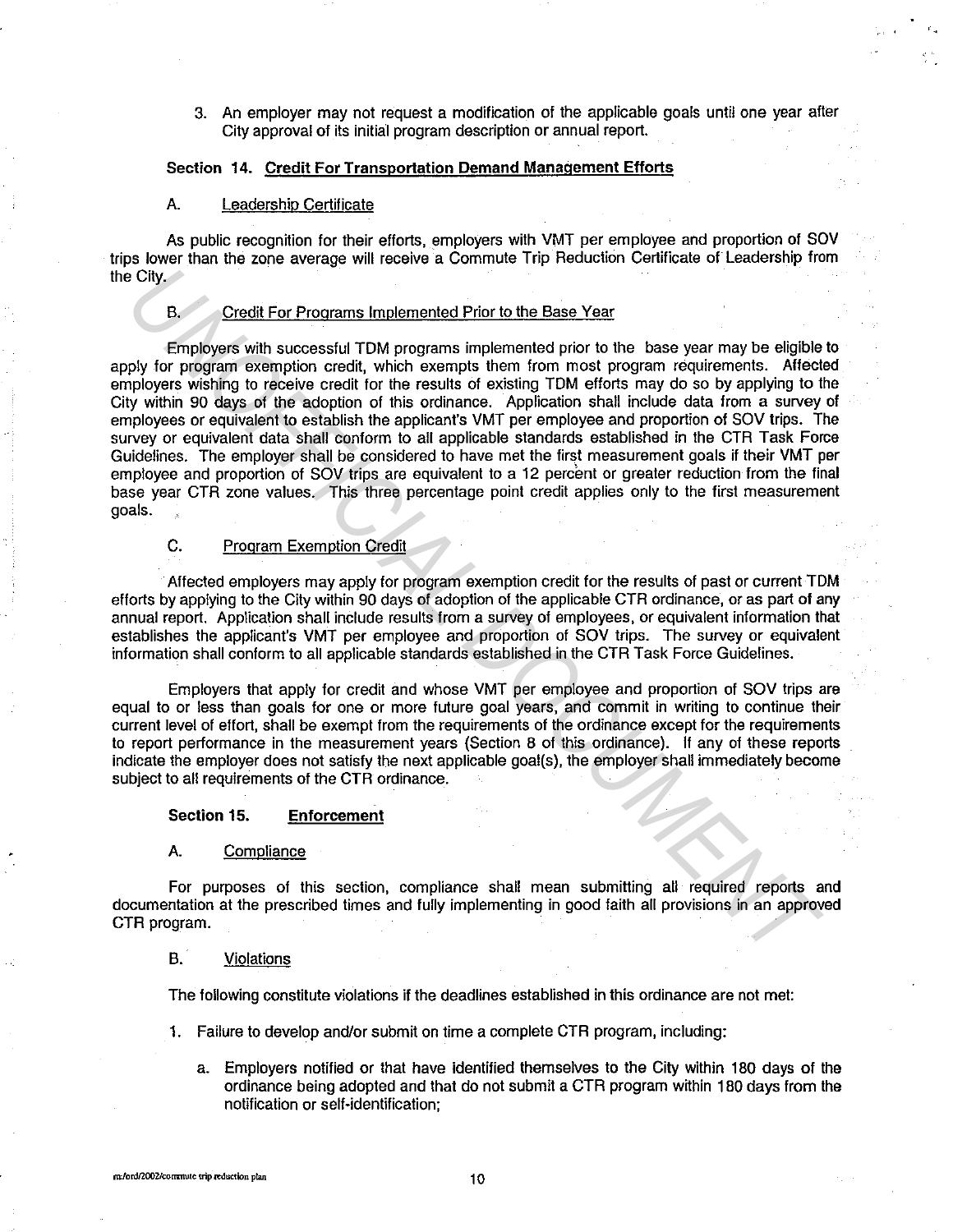3. An employer may not request a modification of the applicable goals until one year after City approval of its initial program description or annual report.

# Section 14. Credit For Transportation Demand Management Efforts

### A. Leadership Certificate

As public recognition for their efforts, employers with VMT per employee and proportion of SOV trips lower than the zone average will receive a Commute Trip Reduction Certificate of Leadership from the City.

### B. Credit For Programs Implemented Prior to the Base Year

Employers with successful TOM programs implemented prior to the base year may be eligible to apply for program exemption credit, which exempts them from most program requirements. Affected employers wishing to receive credit for the results of existing TOM efforts may do so by applying to the City within 90 days of the adoption of this ordinance. Application shall include data from a survey of employees or equivalent to establish the applicant's VMT per employee and proportion of SOV trips. The survey or equivalent data shall conform to all applicable standards established in the CTR Task Force Guidelines. The employer shall be considered to have met the first measurement goals if their VMT per employee and proportion of SOV trips are equivalent to a 12 percent or greater reduction from the final base year CTR zone values. This three percentage point credit applies only to the first measurement goals. City.<br> **Example 19** City.<br> **Example 19** Expressive Englished For Programs implemented Prior to the Base Year<br> **Example 19** Expressive increases in the average stream from most program requirements. Affect<br>phylogers withing

# C. Program Exemption Credit

Affected employers may apply for program exemption credit for the results of past or current TOM efforts by applying to the City within 90 days of adoption of the applicable CTR ordinance, or as part of any annual report. Application shall include results from a survey of employees, or equivalent information that establishes the applicant's VMT per employee and proportion of *SOV* trips. The survey or equivalent information shall conform to all applicable standards established in the CTR Task Force Guidelines.

Employers that apply for credit and whose VMT per employee and proportion of SOV trips are equal to or less than goals for one or more future goal years, and commit in writing to continue their current level of effort, shall be exempt from the requirements of the ordinance except for the requirements to report performance in the measurement years (Section 8 of this ordinance). If any of these reports indicate the employer does not satisfy the next applicable goal(s), the employer shall immediately become subject to all requirements of the CTR ordinance.

### Section 15. Enforcement

#### A. Compliance

For purposes of this section, compliance shall mean submitting all required reports and documentation at the prescribed times and fully implementing in good faith all provisions in an approved CTR program.

#### B. Violations

The following constitute violations if the deadlines established in this ordinance are not met:

- 1. Failure to develop and/or submit on time a complete CTR program, including:
	- a. Employers notified or that have identified themselves to the City within 180 days of the ordinance being adopted and that do not submit a CTR program within 180 days from the notification or self-identification;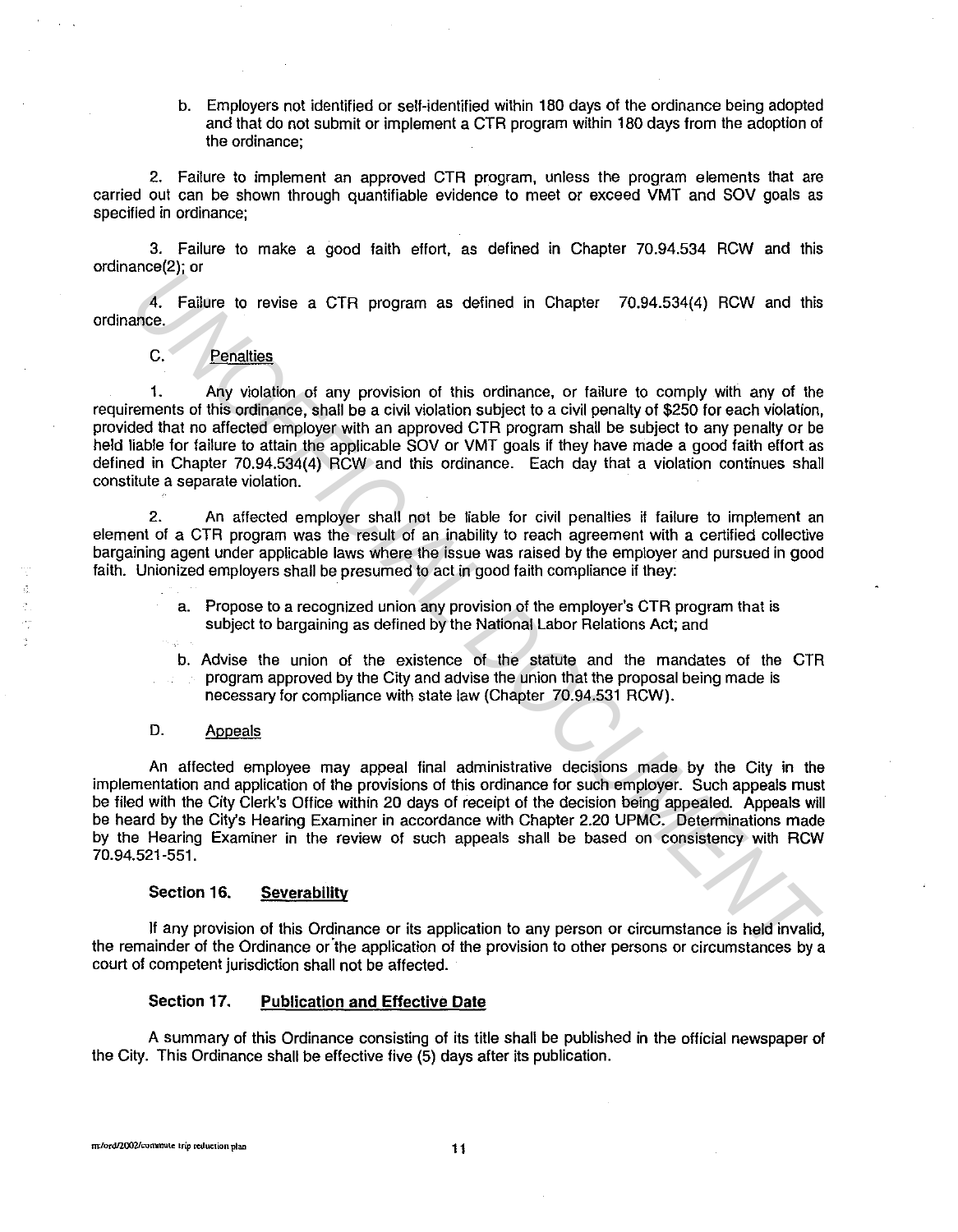b. Employers not identified or self-identified within 180 days of the ordinance being adopted and that do not submit or implement a CTR program within 180 days from the adoption of the ordinance;

2. Failure to implement an approved CTR program, unless the program elements that are carried out can be shown through quantifiable evidence to meet or exceed VMT and SOV goals as specified in ordinance;

3. Failure to make a good faith effort, as defined in Chapter 70.94.534 RCW and this ordinance(2); or

4. Failure to revise a CTR program as defined in Chapter 70.94.534(4) RCW and this ordinance.

# C. Penalties

1. Any violation of any provision of this ordinance, or failure to comply with any of the requirements of this ordinance, shall be a civil violation subject to a civil penalty of \$250 for each violation, provided that no affected employer with an approved CTR program shall be subject to any penalty or be held liable for failure to attain the applicable SOV or VMT goals if they have made a good faith effort as defined in Chapter 70.94.534(4) RCW and this ordinance. Each day that a violation continues shall constitute a separate violation. **Example 12**<br> **Example 12**<br> **U.e.** Failure to ravise a CTR program as defined in Chapter 70.94.534(4) RCW and this<br>
10.<br>
10.<br>
C. Penalties<br>
20.<br>
C. Penalties<br>
20.<br>
C. Penalties<br>
20.<br>
C. Penalties<br>
20.<br>
C. Penalties<br>
20.<br>
C

2. An affected employer shall not be liable for civil penalties if failure to implement an element of a CTR program was the result of an inability to reach agreement with a certified collective bargaining agent under applicable laws where the issue was raised by the employer and pursued in good faith. Unionized employers shall be presumed to act in good faith compliance if they:

> a. Propose to a recognized union any provision of the employer's CTR program that is subject to bargaining as defined by the National Labor Relations Act; and

b. Advise the union of the existence of the statute and the mandates of the CTR program approved by the City and advise the union that the proposal being made is necessary for compliance with state law (Chapter 70.94.531 RCW).

# D. Appeals

 $\tilde{\mathcal{Q}}$ 

An affected employee may appeal final administrative decisions made by the City in the implementation and application of the provisions of this ordinance for such employer. Such appeals must be filed with the City Clerk's Office within 20 days of receipt of the decision being appealed. Appeals will be heard by the City's Hearing Examiner in accordance with Chapter 2.20 UPMC. Determinations made by the Hearing Examiner in the review of such appeals shall be based on consistency with RCW 70.94.521-551.

### **Section 16. Severability**

If any provision of this Ordinance or its application to any person or circumstance is held invalid, the remainder of the Ordinance or"the application of the provision to other persons or circumstances by a court of competent jurisdiction shall not be affected.

## **Section 17. Publication and Effective Date**

A summary of this Ordinance consisting of its title shall be published in the official newspaper of the City. This Ordinance shall be effective five (5) days after its publication.

m:/ord/2002/contanue trip reduction plan **11** 1